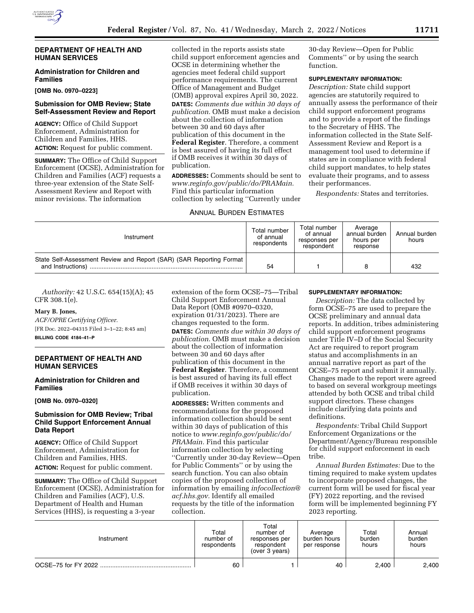

## **DEPARTMENT OF HEALTH AND HUMAN SERVICES**

# **Administration for Children and Families**

**[OMB No. 0970–0223]** 

## **Submission for OMB Review; State Self-Assessment Review and Report**

**AGENCY:** Office of Child Support Enforcement, Administration for Children and Families, HHS. **ACTION:** Request for public comment.

**SUMMARY:** The Office of Child Support Enforcement (OCSE), Administration for Children and Families (ACF) requests a three-year extension of the State Self-Assessment Review and Report with minor revisions. The information

collected in the reports assists state child support enforcement agencies and OCSE in determining whether the agencies meet federal child support performance requirements. The current Office of Management and Budget (OMB) approval expires April 30, 2022. **DATES:** *Comments due within 30 days of publication.* OMB must make a decision about the collection of information between 30 and 60 days after publication of this document in the **Federal Register**. Therefore, a comment is best assured of having its full effect if OMB receives it within 30 days of publication.

**ADDRESSES:** Comments should be sent to *[www.reginfo.gov/public/do/PRAMain.](http://www.reginfo.gov/public/do/PRAMain)*  Find this particular information collection by selecting ''Currently under

## ANNUAL BURDEN ESTIMATES

30-day Review—Open for Public Comments'' or by using the search function.

## **SUPPLEMENTARY INFORMATION:**

*Description:* State child support agencies are statutorily required to annually assess the performance of their child support enforcement programs and to provide a report of the findings to the Secretary of HHS. The information collected in the State Self-Assessment Review and Report is a management tool used to determine if states are in compliance with federal child support mandates, to help states evaluate their programs, and to assess their performances.

*Respondents:* States and territories.

| Instrument                                                          | Total number<br>of annual<br>respondents | Total number<br>of annual<br>responses per<br>respondent | Average<br>annual burden<br>hours per<br>response | Annual burden<br>hours |
|---------------------------------------------------------------------|------------------------------------------|----------------------------------------------------------|---------------------------------------------------|------------------------|
| State Self-Assessment Review and Report (SAR) (SAR Reporting Format | 54                                       |                                                          |                                                   | 432                    |

*Authority:* 42 U.S.C. 654(15)(A); 45 CFR 308.1(e).

#### **Mary B. Jones,**

*ACF/OPRE Certifying Officer.*  [FR Doc. 2022–04315 Filed 3–1–22; 8:45 am] **BILLING CODE 4184–41–P** 

## **DEPARTMENT OF HEALTH AND HUMAN SERVICES**

#### **Administration for Children and Families**

**[OMB No. 0970–0320]** 

## **Submission for OMB Review; Tribal Child Support Enforcement Annual Data Report**

**AGENCY:** Office of Child Support Enforcement, Administration for Children and Families, HHS. **ACTION:** Request for public comment.

**SUMMARY:** The Office of Child Support Enforcement (OCSE), Administration for Children and Families (ACF), U.S. Department of Health and Human Services (HHS), is requesting a 3-year

extension of the form OCSE–75—Tribal Child Support Enforcement Annual Data Report (OMB #0970–0320, expiration 01/31/2023). There are changes requested to the form. **DATES:** *Comments due within 30 days of publication.* OMB must make a decision about the collection of information between 30 and 60 days after publication of this document in the **Federal Register**. Therefore, a comment is best assured of having its full effect if OMB receives it within 30 days of publication.

**ADDRESSES:** Written comments and recommendations for the proposed information collection should be sent within 30 days of publication of this notice to *[www.reginfo.gov/public/do/](http://www.reginfo.gov/public/do/PRAMain) [PRAMain.](http://www.reginfo.gov/public/do/PRAMain)* Find this particular information collection by selecting ''Currently under 30-day Review—Open for Public Comments'' or by using the search function. You can also obtain copies of the proposed collection of information by emailing *[infocollection@](mailto:infocollection@acf.hhs.gov) [acf.hhs.gov.](mailto:infocollection@acf.hhs.gov)* Identify all emailed requests by the title of the information collection.

#### **SUPPLEMENTARY INFORMATION:**

*Description:* The data collected by form OCSE–75 are used to prepare the OCSE preliminary and annual data reports. In addition, tribes administering child support enforcement programs under Title IV–D of the Social Security Act are required to report program status and accomplishments in an annual narrative report as part of the OCSE–75 report and submit it annually. Changes made to the report were agreed to based on several workgroup meetings attended by both OCSE and tribal child support directors. These changes include clarifying data points and definitions.

*Respondents:* Tribal Child Support Enforcement Organizations or the Department/Agency/Bureau responsible for child support enforcement in each tribe.

*Annual Burden Estimates:* Due to the timing required to make system updates to incorporate proposed changes, the current form will be used for fiscal year (FY) 2022 reporting, and the revised form will be implemented beginning FY 2023 reporting.

| Instrument          | Total<br>number of<br>respondents | Total<br>number of<br>responses per<br>respondent<br>(over 3 years) | Average<br>burden hours<br>per response | Total<br>burden<br>hours | Annual<br>burden<br>hours |
|---------------------|-----------------------------------|---------------------------------------------------------------------|-----------------------------------------|--------------------------|---------------------------|
| OCSE-75 for FY 2022 | 60                                |                                                                     | 40                                      | 2.400                    | 2.400                     |